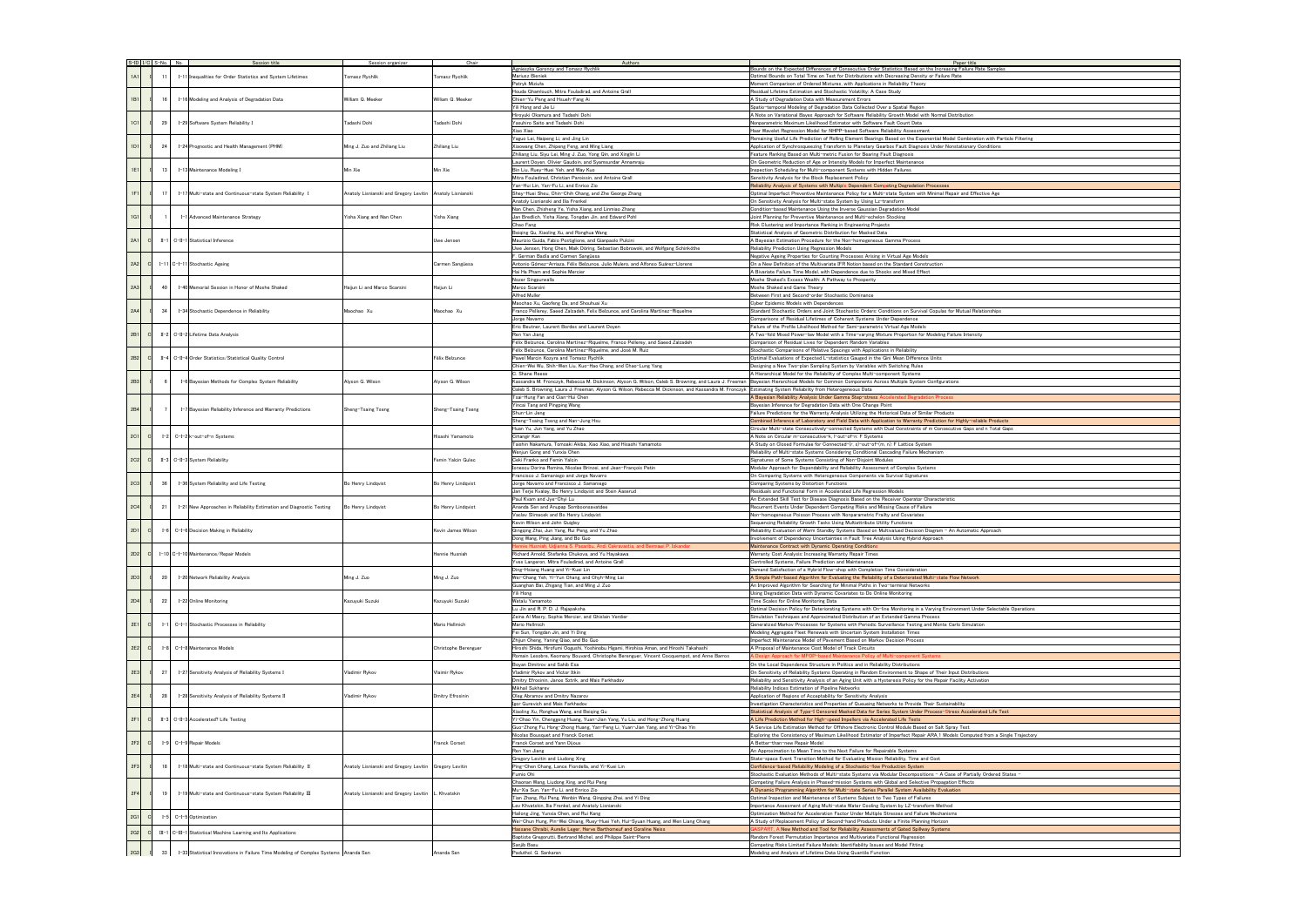|            | S-ID I/C S-No. No. |         | Session title                                                                       | Session organizer                                         | Chair                | Authors                                                                                                                                      | Paper title                                                                                                                                                                                        |
|------------|--------------------|---------|-------------------------------------------------------------------------------------|-----------------------------------------------------------|----------------------|----------------------------------------------------------------------------------------------------------------------------------------------|----------------------------------------------------------------------------------------------------------------------------------------------------------------------------------------------------|
|            |                    |         |                                                                                     |                                                           |                      | Agnieszka Goroncy and Tomasz Rychlik                                                                                                         | Bounds on the Expected Differences of Consecutive Order Statistics Based on the Increasing Failure Rate Sa                                                                                         |
| 1A1        |                    |         | I-11 Inequalities for Order Statistics and System Lifetimes                         | Tomasz Rychlik                                            | Tomasz Rychlik       | Mariusz Bieniek<br>Patryk Miziuła                                                                                                            | Optimal Bounds on Total Time on Test for Distributions with Decreasing Density or Failure Rate<br>Moment Comparison of Ordered Mixtures, with Applications in Reliability Theory                   |
|            |                    |         |                                                                                     |                                                           |                      | Houda Ghamlouch, Mitra Fouladirad, and Antoine Grall                                                                                         | Residual Lifetime Estimation and Stochastic Volatility: A Case Study                                                                                                                               |
| 1B1        |                    | 16      | I-16 Modeling and Analysis of Degradation Data                                      | William Q. Meeker                                         | William Q. Meeker    | Chien-Yu Peng and Hsueh-Fang Ai                                                                                                              | A Study of Degradation Data with Measurement Errors                                                                                                                                                |
|            |                    |         |                                                                                     |                                                           |                      | Yili Hong and Jie Li                                                                                                                         | Spatio-temporal Modeling of Degradation Data Collected Over a Spatial Region                                                                                                                       |
| 1C1        |                    | 29      |                                                                                     |                                                           |                      | Hiroyuki Okamura and Tadashi Dohi<br>Yasuhiro Saito and Tadashi Dohi                                                                         | A Note on Variational Bayes Approach for Software Reliability Growth Model with Normal Distribution<br>Nonparametric Maximum Likelihood Estimator with Software Fault Count Data                   |
|            |                    |         | I-29 Software System Reliability I                                                  | Tadashi Dohi                                              | Tadashi Dohi         | Xiao Xiao                                                                                                                                    | Haar Wavelet Regression Model for NHPP-based Software Reliability Assessment                                                                                                                       |
|            |                    |         |                                                                                     |                                                           |                      | Yaguo Lei, Naipeng Li, and Jing Lin                                                                                                          | Remaining Useful Life Prediction of Rolling Element Bearings Based on the Exponential Model Combination with                                                                                       |
| 1D1        |                    | 24      | I-24 Prognostic and Health Management (PHM)                                         | Ming J. Zuo and Zhiliang Liu                              | Zhiliang Liu         | Xiaowang Chen, Zhipeng Feng, and Ming Liang                                                                                                  | Application of Synchrosqueezing Transform to Planetary Gearbox Fault Diagnosis Under Nonstationary Conditio                                                                                        |
|            |                    |         |                                                                                     |                                                           |                      | Zhiliang Liu, Siyu Lei, Ming J. Zuo, Yong Qin, and Xinglin Li                                                                                | Feature Ranking Based on Multi-metric Fusion for Bearing Fault Diagnosis                                                                                                                           |
|            |                    |         |                                                                                     |                                                           |                      | Laurent Doyen, Olivier Gaudoin, and Syamsundar Annamraju                                                                                     | On Geometric Reduction of Age or Intensity Models for Imperfect Maintenance                                                                                                                        |
| 1E1        |                    | 13      | I-13 Maintenance Modeling I                                                         | Min Xie                                                   | Min Xie              | Bin Liu, Ruey-Huei Yeh, and Way Kuo<br>Mitra Fouladirad, Christian Paroissin, and Antoine Grall                                              | nspection Scheduling for Multi-component Systems with Hidden Failures<br>Sensitivity Analysis for the Block Replacement Policy                                                                     |
|            |                    |         |                                                                                     |                                                           |                      | Yan-Hui Lin, Yan-Fu Li, and Enrico Zio                                                                                                       | Reliability Analysis of Systems with Multiple Dependent Competing Degradation Processes                                                                                                            |
| 1F1        |                    | 17      | I-17 Multi-state and Continuous-state System Reliability I                          | Anatoly Lisnianski and Gregory Levitin Anatoly Lisnianski |                      | Shey-Huei Sheu, Chin-Chih Chang, and Zhe George Zhang                                                                                        | Optimal Imperfect Preventive Maintenance Policy for a Multi-state System with Minimal Repair and Effective A                                                                                       |
|            |                    |         |                                                                                     |                                                           |                      | Anatoly Lisnianski and Ilia Frenkel                                                                                                          | On Sensitivity Analysis for Multi-state System by Using Lz-transform                                                                                                                               |
|            |                    |         |                                                                                     |                                                           |                      | Nan Chen, Zhisheng Ye, Yisha Xiang, and Linmiao Zhang                                                                                        | Condition-based Maintenance Using the Inverse Gaussian Degradation Model                                                                                                                           |
| 1G1        |                    |         | I-1 Advanced Maintenance Strategy                                                   | Yisha Xiang and Nan Chen                                  | Yisha Xiang          | Jan Bredlich, Yisha Xiang, Tongdan Jin, and Edward Pohl                                                                                      | Joint Planning for Preventive Maintenance and Multi-echelon Stocking                                                                                                                               |
|            |                    |         |                                                                                     |                                                           |                      | Chao Fang                                                                                                                                    | Risk Clustering and Importance Ranking in Engineering Projects                                                                                                                                     |
|            | C                  | $II-1$  | C-II-1 Statistical Inference                                                        |                                                           |                      | Beiging Gu, Xiaoling Xu, and Ronghua Wang                                                                                                    | Statistical Analysis of Geometric Distribution for Masked Data                                                                                                                                     |
| 2A1        |                    |         |                                                                                     |                                                           | Uwe Jensen           | Maurizio Guida, Fabio Postiglione, and Gianpaolo Pulcini<br>Uwe Jensen, Hong Chen, Maik Döring, Sebastian Bobrowski, and Wolfgang Schinköthe | A Bayesian Estimation Procedure for the Non-homogeneous Gamma Process<br>Reliability Prediction Using Regression Models                                                                            |
|            |                    |         |                                                                                     |                                                           |                      | German Badía and Carmen Sangüesa                                                                                                             | Negative Ageing Properties for Counting Processes Arising in Virtual Age Models                                                                                                                    |
| 2A2        | C                  |         | I-11 C-I-11 Stochastic Ageing                                                       |                                                           | Carmen Sangüesa      | Antonio Gómez-Arriaza, Félix Belzunce, Julio Mulero, and Alfonso Suárez-Llorens                                                              | On a New Definition of the Multivariate IFR Notion based on the Standard Construction                                                                                                              |
|            |                    |         |                                                                                     |                                                           |                      | Hai Ha Pham and Sophie Mercier                                                                                                               | A Bivariate Failure Time Model, with Dependence due to Shocks and Mixed Effect                                                                                                                     |
|            |                    |         |                                                                                     |                                                           |                      | Nozer Singpurwalla                                                                                                                           | Moshe Shaked's Excess Wealth: A Pathway to Prosperity                                                                                                                                              |
| 2A3        |                    | 40      | I-40 Memorial Session in Honor of Moshe Shaked                                      | Haijun Li and Marco Scarsini                              | Haijun Li            | Marco Scarsini                                                                                                                               | Moshe Shaked and Game Theory                                                                                                                                                                       |
|            |                    |         |                                                                                     |                                                           |                      | Alfred Muller                                                                                                                                | Between First and Second-order Stochastic Dominance                                                                                                                                                |
|            |                    |         |                                                                                     |                                                           |                      | Maochao Xu, Gaofeng Da, and Shouhuai Xu<br>Franco Pellerey, Saeed Zalzadeh, Felix Belzunce, and Carolina Martínez-Riquelme                   | Cyber Epidemic Models with Dependences                                                                                                                                                             |
| 2A4        |                    | 34      | I-34 Stochastic Dependence in Reliability                                           | Maochao Xu                                                | Maochao Xu           | Jorge Navarro                                                                                                                                | Standard Stochastic Orders and Joint Stochastic Orders: Conditions on Survival Copulas for Mutual Relationsh<br>Comparisons of Residual Lifetimes of Coherent Systems Under Dependence             |
|            |                    |         |                                                                                     |                                                           |                      | Eric Beutner, Laurent Bordes and Laurent Doyen                                                                                               | Failure of the Profile Likelihood Method for Semi-parametric Virtual Age Models                                                                                                                    |
| 2B1        | C                  |         | II-2 C-II-2 Lifetime Data Analysis                                                  |                                                           |                      | Ren Yan Jiang                                                                                                                                | A Two-fold Mixed Power-law Model with a Time-varying Mixture Proportion for Modeling Failure Intensity                                                                                             |
|            |                    |         |                                                                                     |                                                           |                      | Félix Belzunce, Carolina Martínez-Riquelme, Franco Pellerey, and Saeed Zalzadeh                                                              | Comparison of Residual Lives for Dependent Random Variables                                                                                                                                        |
|            |                    |         |                                                                                     |                                                           |                      | Félix Belzunce, Carolina Martínez-Riquelme, and José M. Ruiz                                                                                 | Stochastic Comparisons of Relative Spacings with Applications in Reliability                                                                                                                       |
| 2B2        | C                  | $II-4$  | C-II-4 Order Statistics/Statistical Quality Control                                 |                                                           | Félix Belzunce       | Pawel Marcin Kozyra and Tomasz Rychlik                                                                                                       | Optimal Evaluations of Expected L-statistics Gauged in the Gini Mean Difference Units                                                                                                              |
|            |                    |         |                                                                                     |                                                           |                      | Chien-Wei Wu, Shih-Wen Liu, Kuo-Hao Chang, and Chao-Lung Yang                                                                                | Designing a New Two-plan Sampling System by Variables with Switching Rules                                                                                                                         |
|            |                    |         |                                                                                     | Alyson G. Wilson                                          | Alyson G. Wilson     | C. Shane Reese                                                                                                                               | A Hierarchical Model for the Reliability of Complex Multi-component Systems                                                                                                                        |
| 2B3        |                    |         | I-6 Bayesian Methods for Complex System Reliability                                 |                                                           |                      | Kassandra M. Fronczyk, Rebecca M. Dickinson, Alyson G. Wilson, Caleb S. Browning, and Laura J. Freeman                                       | Bayesian Hierarchical Models for Common Components Across Multiple System Configurations                                                                                                           |
|            |                    |         |                                                                                     |                                                           |                      | Caleb S. Browning, Laura J. Freeman, Alyson G. Wilson, Rebecca M. Dickinson, and Kassandra M. Fronczyk<br>Tsai-Hung Fan and Cian-Hui Chen    | Estimating System Reliability from Heterogeneous Data                                                                                                                                              |
|            |                    |         | I-7 Bayesian Reliability Inference and Warranty Predictions                         | Sheng-Tsaing Tseng                                        |                      | Yincai Tang and Pingping Wang                                                                                                                | A Bayesian Reliability Analysis Under Gamma Step-stress Accelerated Degradation Process<br>Bayesian Inference for Degradation Data with One Change Point                                           |
| 2B4        |                    |         |                                                                                     |                                                           | Sheng-Tsaing Tseng   | Shun-Lin Jeng                                                                                                                                | Failure Predictions for the Warranty Analysis Utilizing the Historical Data of Similar Products                                                                                                    |
|            |                    |         |                                                                                     |                                                           |                      | Sheng-Tsaing Tseng and Nan-Jung Hsu                                                                                                          | Combined Inference of Laboratory and Field Data with Application to Warranty Prediction for Highly-reliable Pr                                                                                     |
|            |                    |         |                                                                                     |                                                           |                      | Huan Yu, Jun Yang, and Yu Zhao                                                                                                               | Circular Multi-state Consecutively-connected Systems with Dual Constraints of m Consecutive Gaps and n To                                                                                          |
| <b>2C1</b> | $\mathbf{C}$       | $1-2$   | C-I-2 k-out-of-n Systems                                                            |                                                           | Hisashi Yamamoto     | Cihangir Kan                                                                                                                                 | A Note on Circular m-consecutive-k, I-out-of-n: F Systems                                                                                                                                          |
|            |                    |         |                                                                                     |                                                           |                      | Taishin Nakamura, Tomoaki Akiba, Xiao Xiao, and Hisashi Yamamoto                                                                             | A Study on Closed Formulae for Connected-(r, s)-out-of-(m, n): F Lattice System                                                                                                                    |
|            |                    |         |                                                                                     |                                                           |                      | Wenjun Gong and Yunxia Chen                                                                                                                  | Reliability of Multi-state Systems Considering Conditional Cascading Failure Mechanism                                                                                                             |
| 2C2        | - Cl               |         | II-3 C-II-3 System Reliability                                                      |                                                           | Femin Yalcin Gulec   | Ceki Franko and Femin Yalcin<br>onescu Dorina Romina, Nicolae Brinzei, and Jean-François Petin                                               | Signatures of Some Systems Consisting of Non-Disjoint Modules                                                                                                                                      |
|            |                    |         |                                                                                     |                                                           |                      | Francisco J. Samaniego and Jorge Navarro                                                                                                     | Modular Approach for Dependability and Reliability Assessment of Complex Systems<br>On Comparing Systems with Heterogeneous Components via Survival Signatures                                     |
| 2C3        |                    | 36      | I-36 System Reliability and Life Testing                                            | Bo Henry Lindqvist                                        | Bo Henry Lindqvist   | Jorge Navarro and Francisco J. Samaniego                                                                                                     | Comparing Systems by Distortion Functions                                                                                                                                                          |
|            |                    |         |                                                                                     |                                                           |                      | Jan Terje Kvaløy, Bo Henry Lindqvist and Stein Aaserud                                                                                       | Residuals and Functional Form in Accelerated Life Regression Models                                                                                                                                |
|            |                    |         |                                                                                     |                                                           |                      | Paul Kvam and Jve-Chvi Lu                                                                                                                    | An Extended Skill Test for Disease Diagnosis Based on the Receiver Operator Characteristic                                                                                                         |
| 2C4        |                    | 21      | I-21 New Approaches in Reliability Estimation and Diagnostic Testing                | Bo Henry Lindqvist                                        | Bo Henry Lindqvist   | Ananda Sen and Anupap Somboonsavatdee                                                                                                        | Recurrent Events Under Dependent Competing Risks and Missing Cause of Failure                                                                                                                      |
|            |                    |         |                                                                                     |                                                           |                      | Vaclav Slimacek and Bo Henry Lindovist                                                                                                       | Non-homogeneous Poisson Process with Nonparametric Frailty and Covariates                                                                                                                          |
|            |                    |         |                                                                                     |                                                           |                      | Kevin Wilson and John Quigley                                                                                                                | Sequencing Reliability Growth Tasks Using Multiattribute Utility Functions                                                                                                                         |
| 2D1        | <sub>c</sub>       |         | C-I-6 Decision Making in Reliability                                                |                                                           | Kevin James Wilsor   | Qingqing Zhai, Jun Yang, Rui Peng, and Yu Zhao<br>Dong Wang, Ping Jiang, and Bo Guo                                                          | Reliability Evaluation of Warm Standby Systems Based on Multivalued Decision Diagram - An Automatic Approa<br>Involvement of Dependency Uncertainties in Fault Tree Analysis Using Hybrid Approach |
|            |                    |         |                                                                                     |                                                           |                      | ribu, Andi Cakravastia, and Bermawi P. Iskandar                                                                                              | Maintenance Contract with Dynamic Operating Conditions                                                                                                                                             |
| 2D2        | c                  |         | I-10 C-I-10 Maintenance/Repair Models                                               |                                                           | Hennie Husniah       | Richard Arnold, Stefanka Chukova, and Yu Hayakawa                                                                                            | Warranty Cost Analysis: Increasing Warranty Repair Times                                                                                                                                           |
|            |                    |         |                                                                                     |                                                           |                      | Yves Langeron, Mitra Fouladirad, and Antoine Grall                                                                                           | Controlled Systems, Failure Prediction and Maintenance                                                                                                                                             |
|            |                    |         | I-20 Network Reliability Analysis                                                   | Ming J. Zuo                                               | Ming J. Zuo          | Ding-Hsiang Huang and Yi-Kuei Lin                                                                                                            | Demand Satisfaction of a Hybrid Flow-shop with Completion Time Consideration                                                                                                                       |
| 2D3        |                    | 20      |                                                                                     |                                                           |                      | Wei-Chang Yeh, Yi-Yun Chang, and Chyh-Ming Lai                                                                                               | A Simple Path-based Algorithm for Evaluating the Reliability of a Deteriorated Multi-state Flow Network                                                                                            |
|            |                    |         |                                                                                     |                                                           |                      | Guanghan Bai, Zhigang Tian, and Ming J. Zuo                                                                                                  | An Improved Algorithm for Searching for Minimal Paths in Two-terminal Networks                                                                                                                     |
|            |                    |         |                                                                                     |                                                           |                      | Yili Hong                                                                                                                                    | Using Degradation Data with Dynamic Covariates to Do Online Monitoring                                                                                                                             |
| 2D4        |                    | 22      | I-22 Online Monitoring                                                              | Kazuyuki Suzuki                                           | Kazuyuki Suzuki      | Watalu Yamamoto<br>Lu Jin and R. P. D. J. Raiapaksha                                                                                         | Time Scales for Online Monitoring Data                                                                                                                                                             |
|            |                    |         |                                                                                     |                                                           |                      | Zeina Al Masry, Sophie Mercier, and Ghislain Verdier                                                                                         | Optimal Decision Policy for Deteriorating Systems with On-line Monitoring in a Varying Environment Under Sel<br>Simulation Techniques and Approximated Distribution of an Extended Gamma Process   |
| 2E1        | C                  | $I-1$   | C-I-1 Stochastic Processes in Reliability                                           |                                                           | Mario Hellmich       | Mario Hellmich                                                                                                                               | Generalized Markov Processes for Systems with Periodic Surveillance Testing and Monte Carlo Simulation                                                                                             |
|            |                    |         |                                                                                     |                                                           |                      | Fei Sun, Tongdan Jin, and Yi Ding                                                                                                            | Modeling Aggregate Fleet Renewals with Uncertain System Installation Times                                                                                                                         |
|            |                    |         |                                                                                     |                                                           |                      | Zhijun Cheng, Yaning Qiao, and Bo Guo                                                                                                        | mperfect Maintenance Model of Pavement Based on Markov Decision Process                                                                                                                            |
| 2E2        | - Cl               | $I-8$   | C-I-8 Maintenance Models                                                            |                                                           | Christophe Berenguer | Hiroshi Shida, Hirofumi Oogushi, Yoshinobu Higami, Hirohisa Aman, and Hiroshi Takahashi                                                      | A Proposal of Maintenance Cost Model of Track Circuits                                                                                                                                             |
|            |                    |         |                                                                                     |                                                           |                      | Romain Lesobre, Keomany Bouvard, Christophe Berenguer, Vincent Cocquempot, and Anne Barros                                                   | Design Approach for MFOP-based Maintenance Policy of Multi-component Systems                                                                                                                       |
| 2E3        |                    | 27      | I-27 Sensitivity Analysis of Reliability Systems I                                  | Vladimir Rykov                                            | Vlaimir Rykov        | Boyan Dimitrov and Sahib Esa<br>Vladimir Rykov and Victor Itkin                                                                              | On the Local Dependence Structure in Politics and in Reliability Distributions<br>On Sensitivity of Reliability Systems Operating in Random Environment to Shape of Their Input Distributions      |
|            |                    |         |                                                                                     |                                                           |                      | Dmitry Efrosinin, Janos Sztrik, and Mais Farkhadov                                                                                           | Reliability and Sensitivity Analysis of an Aging Unit with a Hysteresis Policy for the Repair Facility Activation                                                                                  |
|            |                    |         |                                                                                     |                                                           |                      | Mikhail Sukharev                                                                                                                             | Reliability Indices Estimation of Pipeline Networks                                                                                                                                                |
| 2E4        |                    | 28      | I-28 Sensitivity Analysis of Reliability Systems II                                 | Vladimir Rykov                                            | Dmitry Efrosinin     | Oleg Abramov and Dmitry Nazarov                                                                                                              | Application of Regions of Acceptability for Sensitivity Analysis                                                                                                                                   |
|            |                    |         |                                                                                     |                                                           |                      | Igor Gurevich and Mais Farkhadov                                                                                                             | Investigation Characteristics and Properties of Queueing Networks to Provide Their Sustainability                                                                                                  |
|            |                    |         |                                                                                     |                                                           |                      | Xiaoling Xu, Ronghua Wang, and Beiqing Gu                                                                                                    | Statistical Analysis of Type-I Censored Masked Data for Series System Under Process-Stress Accelerated Lif                                                                                         |
| 2F1        |                    |         | II-3 C-II-3 Accelerated? Life Testing                                               |                                                           |                      | fi-Chao Yin, Chenggeng Huang, Yuan-Jian Yang, Yu Liu, and Hong-Zhong Huang                                                                   | A Life Prediction Method for High-speed Impellers via Accelerated Life Tests                                                                                                                       |
|            |                    |         |                                                                                     |                                                           |                      | Guo-Zhong Fu, Hong-Zhong Huang, Yan-Feng Li, Yuan-Jian Yang, and Yi-Chao Yin                                                                 | A Service Life Estimation Method for Offshore Electronic Control Module Based on Salt Spray Test                                                                                                   |
|            |                    |         |                                                                                     |                                                           |                      | Nicolas Bousquet and Franck Corset                                                                                                           | Exploring the Consistency of Maximum Likelihood Estimator of Imperfect Repair ARA_1 Models Computed from                                                                                           |
| 2F2        | C                  | $1 - 9$ | C-I-9 Repair Models                                                                 |                                                           | Franck Corset        | Franck Corset and Yann Dijoux<br>Ren Yan Jiang                                                                                               | A Better-than-new Repair Model<br>An Approximation to Mean Time to the Next Failure for Repairable Systems                                                                                         |
|            |                    |         |                                                                                     |                                                           |                      | Gregory Levitin and Liudong Xing                                                                                                             | State-space Event Transition Method for Evaluating Mission Reliability, Time and Cost                                                                                                              |
| 2F3        |                    | 18      | I-18 Multi-state and Continuous-state System Reliability II                         | Anatoly Lisnianski and Gregory Levitin   Gregory Levitin  |                      | Ping-Chen Chang, Lance Fiondella, and Yi-Kuei Lin                                                                                            | Confidence-based Reliability Modeling of a Stochastic-flow Production System                                                                                                                       |
|            |                    |         |                                                                                     |                                                           |                      | Fumio Ohi                                                                                                                                    | Stochastic Evaluation Methods of Multi-state Systems via Modular Decompositions - A Case of Partially Order                                                                                        |
|            |                    |         | I-19 Multi-state and Continuous-state System Reliability III                        | Anatoly Lisnianski and Gregory Levitin   L. Khvatskin     |                      | Chaonan Wang, Liudong Xing, and Rui Peng                                                                                                     | Competing Failure Analysis in Phased-mission Systems with Global and Selective Propagation Effects                                                                                                 |
| 2F4        |                    | 19      |                                                                                     |                                                           |                      | Mu-Xia Sun, Yan-Fu Li, and Enrico Zio                                                                                                        | A Dynamic Programming Algorithm for Multi-state Series Parallel System Availability Evaluation                                                                                                     |
|            |                    |         |                                                                                     |                                                           |                      | Tian Zhang, Rui Peng, Wenbin Wang, Qingqing Zhai, and Yi Ding                                                                                | Optimal Inspection and Maintenance of Systems Subject to Two Types of Failures                                                                                                                     |
|            |                    |         |                                                                                     |                                                           |                      | ev Khvatskin, Ilia Frenkel, and Anatoly Lisnianski                                                                                           | Importance Assesment of Aging Multi-state Water Cooling System by LZ-transform Method                                                                                                              |
| 2G1        | $\mathbf{C}$       | $I-5$   | C-I-5 Optimization                                                                  |                                                           |                      | Hailong Jing, Yunxia Chen, and Rui Kang                                                                                                      | Optimization Method for Acceleration Factor Under Multiple Stresses and Failure Mechanisms                                                                                                         |
|            |                    |         |                                                                                     |                                                           |                      | Wei-Chun Hung, Pin-Wei Chiang, Ruey-Huei Yeh, Hui-Syuan Huang, and Wen Liang Chang                                                           | A Study of Replacement Policy of Second-hand Products Under a Finite Planning Horizon                                                                                                              |
| 2G2        |                    | $III-1$ | $C$ -III-1<br>Statistical Machine Learning and Its Applications                     |                                                           |                      | Hassane Chraibi, Aurelie Leger, Herve Barthomeuf and Coraline Neiss<br>Baptiste Gregorutti, Bertrand Michel, and Philippe Saint-Pierre       | ASPART, A New Method and Tool for Reliability Assessments of Gated Spillway Systems<br>Random Forest Permutation Importance and Multivariate Functional Regression                                 |
|            |                    |         |                                                                                     |                                                           |                      | Sanjib Basu                                                                                                                                  | Competing Risks Limited Failure Models: Identifiability Issues and Model Fitting                                                                                                                   |
| 2G3        |                    | 33      | I-33 Statistical Innovations in Failure Time Modeling of Complex Systems Ananda Sen |                                                           | Ananda Sen           | Paduthol. G. Sankaran                                                                                                                        | Modeling and Analysis of Lifetime Data Using Quantile Function                                                                                                                                     |
|            |                    |         |                                                                                     |                                                           |                      |                                                                                                                                              |                                                                                                                                                                                                    |

| samples                |  |
|------------------------|--|
|                        |  |
|                        |  |
|                        |  |
|                        |  |
|                        |  |
|                        |  |
|                        |  |
|                        |  |
| ith Particle Filtering |  |
| itions                 |  |
|                        |  |
|                        |  |
|                        |  |
|                        |  |
|                        |  |
| Age                    |  |
|                        |  |
|                        |  |
|                        |  |
|                        |  |
|                        |  |
|                        |  |
|                        |  |
|                        |  |
|                        |  |
|                        |  |
|                        |  |
|                        |  |
|                        |  |
|                        |  |
| ships                  |  |
|                        |  |
|                        |  |
|                        |  |
|                        |  |
|                        |  |
|                        |  |
|                        |  |
|                        |  |
|                        |  |
|                        |  |
|                        |  |
|                        |  |
|                        |  |
|                        |  |
| Products               |  |
| <b>Total Gaps</b>      |  |
|                        |  |
|                        |  |
|                        |  |
|                        |  |
|                        |  |
|                        |  |
|                        |  |
|                        |  |
|                        |  |
|                        |  |
|                        |  |
|                        |  |
| roach                  |  |
|                        |  |
|                        |  |
|                        |  |
|                        |  |
|                        |  |
|                        |  |
|                        |  |
|                        |  |
|                        |  |
| electable Operations   |  |
|                        |  |
|                        |  |
|                        |  |
|                        |  |
|                        |  |
|                        |  |
|                        |  |
|                        |  |
| $\overline{1}$         |  |
|                        |  |
|                        |  |
|                        |  |
|                        |  |
|                        |  |
| Life Test              |  |
|                        |  |
|                        |  |
| om a Single Trajectory |  |
|                        |  |
|                        |  |
|                        |  |
|                        |  |
| dered States -         |  |
|                        |  |
|                        |  |
|                        |  |
|                        |  |
|                        |  |
|                        |  |
|                        |  |
|                        |  |
|                        |  |